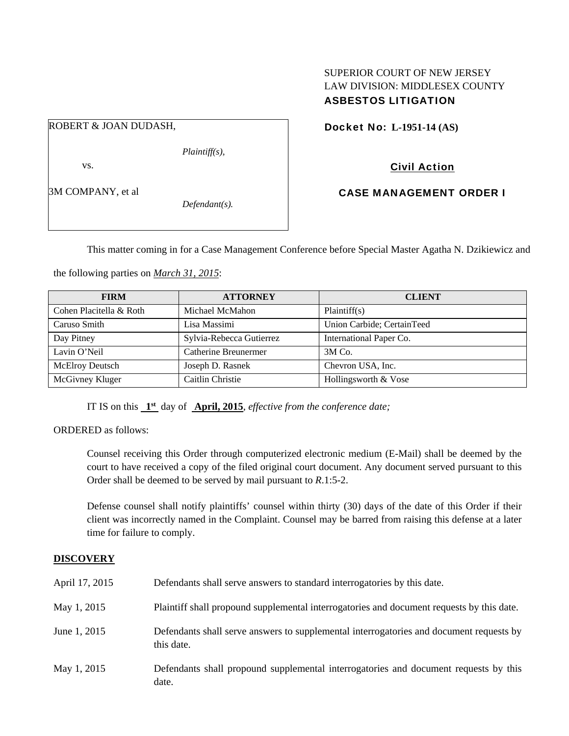## SUPERIOR COURT OF NEW JERSEY LAW DIVISION: MIDDLESEX COUNTY ASBESTOS LITIGATION

ROBERT & JOAN DUDASH,

vs.

3M COMPANY, et al

*Defendant(s).* 

*Plaintiff(s),* 

Docket No: **L-1951-14 (AS)** 

Civil Action

CASE MANAGEMENT ORDER I

This matter coming in for a Case Management Conference before Special Master Agatha N. Dzikiewicz and

the following parties on *March 31, 2015*:

| <b>FIRM</b>             | <b>ATTORNEY</b>          | <b>CLIENT</b>              |
|-------------------------|--------------------------|----------------------------|
| Cohen Placitella & Roth | Michael McMahon          | Plaintiff(s)               |
| Caruso Smith            | Lisa Massimi             | Union Carbide; CertainTeed |
| Day Pitney              | Sylvia-Rebecca Gutierrez | International Paper Co.    |
| Lavin O'Neil            | Catherine Breunermer     | $3M$ Co.                   |
| McElroy Deutsch         | Joseph D. Rasnek         | Chevron USA, Inc.          |
| McGivney Kluger         | Caitlin Christie         | Hollingsworth & Vose       |

IT IS on this **1st** day of **April, 2015**, *effective from the conference date;*

ORDERED as follows:

Counsel receiving this Order through computerized electronic medium (E-Mail) shall be deemed by the court to have received a copy of the filed original court document. Any document served pursuant to this Order shall be deemed to be served by mail pursuant to *R*.1:5-2.

Defense counsel shall notify plaintiffs' counsel within thirty (30) days of the date of this Order if their client was incorrectly named in the Complaint. Counsel may be barred from raising this defense at a later time for failure to comply.

# **DISCOVERY**

| April 17, 2015 | Defendants shall serve answers to standard interrogatories by this date.                              |
|----------------|-------------------------------------------------------------------------------------------------------|
| May 1, 2015    | Plaintiff shall propound supplemental interrogatories and document requests by this date.             |
| June 1, 2015   | Defendants shall serve answers to supplemental interrogatories and document requests by<br>this date. |
| May 1, 2015    | Defendants shall propound supplemental interrogatories and document requests by this<br>date.         |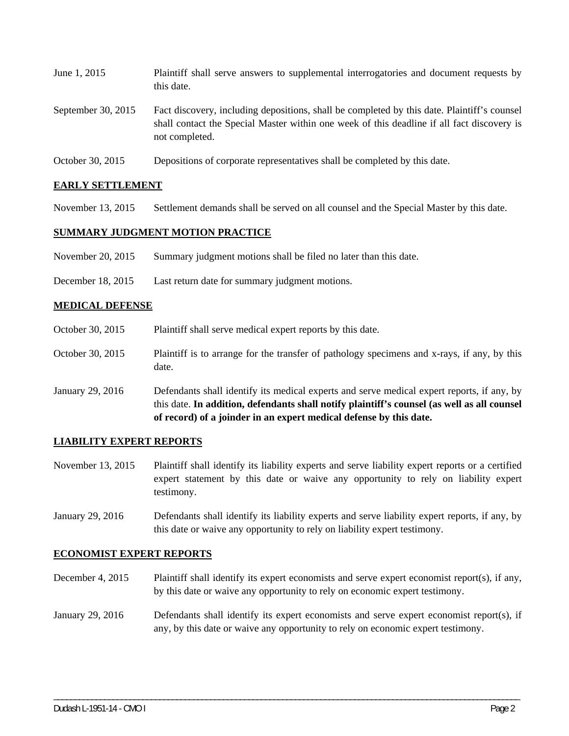| June 1, 2015         | Plaintiff shall serve answers to supplemental interrogatories and document requests by<br>this date.                                                                                                        |
|----------------------|-------------------------------------------------------------------------------------------------------------------------------------------------------------------------------------------------------------|
| September 30, $2015$ | Fact discovery, including depositions, shall be completed by this date. Plaintiff's counsel<br>shall contact the Special Master within one week of this deadline if all fact discovery is<br>not completed. |

October 30, 2015 Depositions of corporate representatives shall be completed by this date.

#### **EARLY SETTLEMENT**

November 13, 2015 Settlement demands shall be served on all counsel and the Special Master by this date.

#### **SUMMARY JUDGMENT MOTION PRACTICE**

- November 20, 2015 Summary judgment motions shall be filed no later than this date.
- December 18, 2015 Last return date for summary judgment motions.

#### **MEDICAL DEFENSE**

- October 30, 2015 Plaintiff shall serve medical expert reports by this date.
- October 30, 2015 Plaintiff is to arrange for the transfer of pathology specimens and x-rays, if any, by this date.
- January 29, 2016 Defendants shall identify its medical experts and serve medical expert reports, if any, by this date. **In addition, defendants shall notify plaintiff's counsel (as well as all counsel of record) of a joinder in an expert medical defense by this date.**

#### **LIABILITY EXPERT REPORTS**

- November 13, 2015 Plaintiff shall identify its liability experts and serve liability expert reports or a certified expert statement by this date or waive any opportunity to rely on liability expert testimony.
- January 29, 2016 Defendants shall identify its liability experts and serve liability expert reports, if any, by this date or waive any opportunity to rely on liability expert testimony.

#### **ECONOMIST EXPERT REPORTS**

- December 4, 2015 Plaintiff shall identify its expert economists and serve expert economist report(s), if any, by this date or waive any opportunity to rely on economic expert testimony.
- January 29, 2016 Defendants shall identify its expert economists and serve expert economist report(s), if any, by this date or waive any opportunity to rely on economic expert testimony.

\_\_\_\_\_\_\_\_\_\_\_\_\_\_\_\_\_\_\_\_\_\_\_\_\_\_\_\_\_\_\_\_\_\_\_\_\_\_\_\_\_\_\_\_\_\_\_\_\_\_\_\_\_\_\_\_\_\_\_\_\_\_\_\_\_\_\_\_\_\_\_\_\_\_\_\_\_\_\_\_\_\_\_\_\_\_\_\_\_\_\_\_\_\_\_\_\_\_\_\_\_\_\_\_\_\_\_\_\_\_